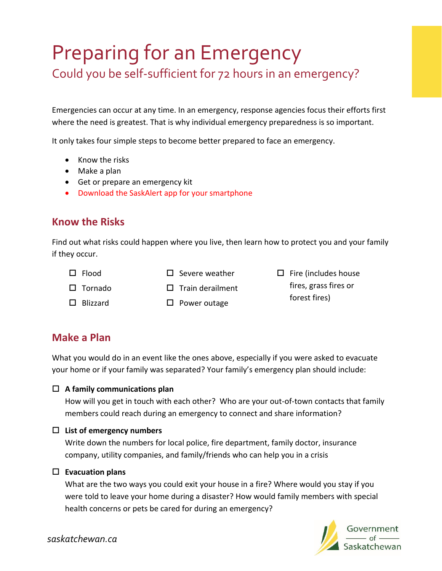# Preparing for an Emergency Could you be self-sufficient for 72 hours in an emergency?

Emergencies can occur at any time. In an emergency, response agencies focus their efforts first where the need is greatest. That is why individual emergency preparedness is so important.

It only takes four simple steps to become better prepared to face an emergency.

- Know the risks
- Make a plan
- Get or prepare an emergency kit
- Download the SaskAlert app for your smartphone

### **Know the Risks**

Find out what risks could happen where you live, then learn how to protect you and your family if they occur.

 $\Box$  Flood

- $\square$  Severe weather
- $\square$  Fire (includes house fires, grass fires or forest fires)

 $\Box$  Blizzard

 $\Box$  Tornado

 $\square$  Train derailment  $\square$  Power outage

**Make a Plan**

What you would do in an event like the ones above, especially if you were asked to evacuate your home or if your family was separated? Your family's emergency plan should include:

#### **A family communications plan**

How will you get in touch with each other? Who are your out-of-town contacts that family members could reach during an emergency to connect and share information?

#### **List of emergency numbers**

Write down the numbers for local police, fire department, family doctor, insurance company, utility companies, and family/friends who can help you in a crisis

#### **Evacuation plans**

What are the two ways you could exit your house in a fire? Where would you stay if you were told to leave your home during a disaster? How would family members with special health concerns or pets be cared for during an emergency?